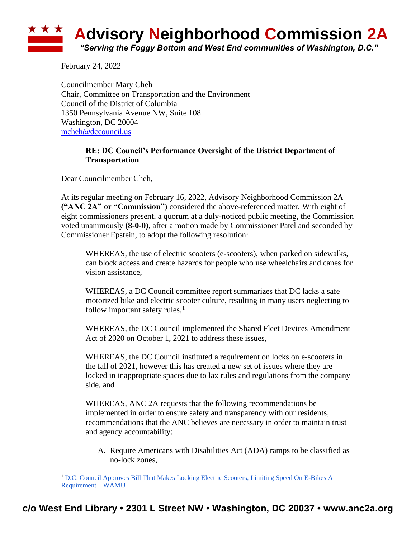## ★ ★ ★ **Advisory Neighborhood Commission 2A** *"Serving the Foggy Bottom and West End communities of Washington, D.C."*

February 24, 2022

Councilmember Mary Cheh Chair, Committee on Transportation and the Environment Council of the District of Columbia 1350 Pennsylvania Avenue NW, Suite 108 Washington, DC 20004 [mcheh@dccouncil.us](mailto:mcheh@dccouncil.us)

## **RE: DC Council's Performance Oversight of the District Department of Transportation**

Dear Councilmember Cheh,

At its regular meeting on February 16, 2022, Advisory Neighborhood Commission 2A **("ANC 2A" or "Commission")** considered the above-referenced matter. With eight of eight commissioners present, a quorum at a duly-noticed public meeting, the Commission voted unanimously **(8-0-0)**, after a motion made by Commissioner Patel and seconded by Commissioner Epstein, to adopt the following resolution:

WHEREAS, the use of electric scooters (e-scooters), when parked on sidewalks, can block access and create hazards for people who use wheelchairs and canes for vision assistance,

WHEREAS, a DC Council committee report summarizes that DC lacks a safe motorized bike and electric scooter culture, resulting in many users neglecting to follow important safety rules, $<sup>1</sup>$ </sup>

WHEREAS, the DC Council implemented the Shared Fleet Devices Amendment Act of 2020 on October 1, 2021 to address these issues,

WHEREAS, the DC Council instituted a requirement on locks on e-scooters in the fall of 2021, however this has created a new set of issues where they are locked in inappropriate spaces due to lax rules and regulations from the company side, and

WHEREAS, ANC 2A requests that the following recommendations be implemented in order to ensure safety and transparency with our residents, recommendations that the ANC believes are necessary in order to maintain trust and agency accountability:

A. Require Americans with Disabilities Act (ADA) ramps to be classified as no-lock zones,

<sup>&</sup>lt;sup>1</sup> D.C. Council Approves Bill That Makes Locking Electric Scooters, Limiting Speed On E-Bikes A [Requirement –](https://wamu.org/story/20/10/20/new-dc-rules-on-scooters-and-ebikes/) WAMU